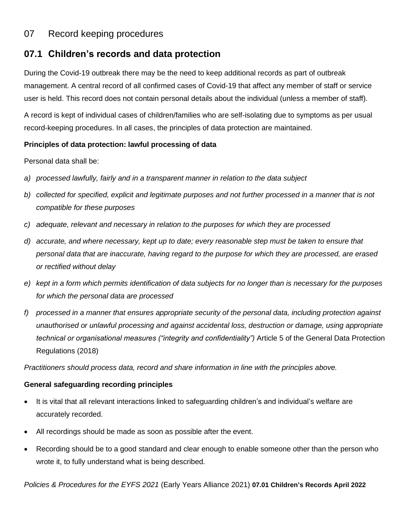## 07 Record keeping procedures

# **07.1 Children's records and data protection**

During the Covid-19 outbreak there may be the need to keep additional records as part of outbreak management. A central record of all confirmed cases of Covid-19 that affect any member of staff or service user is held. This record does not contain personal details about the individual (unless a member of staff).

A record is kept of individual cases of children/families who are self-isolating due to symptoms as per usual record-keeping procedures. In all cases, the principles of data protection are maintained.

### **Principles of data protection: lawful processing of data**

Personal data shall be:

- *a) processed lawfully, fairly and in a transparent manner in relation to the data subject*
- *b) collected for specified, explicit and legitimate purposes and not further processed in a manner that is not compatible for these purposes*
- *c) adequate, relevant and necessary in relation to the purposes for which they are processed*
- *d) accurate, and where necessary, kept up to date; every reasonable step must be taken to ensure that personal data that are inaccurate, having regard to the purpose for which they are processed, are erased or rectified without delay*
- *e) kept in a form which permits identification of data subjects for no longer than is necessary for the purposes for which the personal data are processed*
- *f) processed in a manner that ensures appropriate security of the personal data, including protection against unauthorised or unlawful processing and against accidental loss, destruction or damage, using appropriate technical or organisational measures ("integrity and confidentiality")* Article 5 of the General Data Protection Regulations (2018)

*Practitioners should process data, record and share information in line with the principles above.*

### **General safeguarding recording principles**

- It is vital that all relevant interactions linked to safeguarding children's and individual's welfare are accurately recorded.
- All recordings should be made as soon as possible after the event.
- Recording should be to a good standard and clear enough to enable someone other than the person who wrote it, to fully understand what is being described.

*Policies & Procedures for the EYFS 2021* (Early Years Alliance 2021) **07.01 Children's Records April 2022**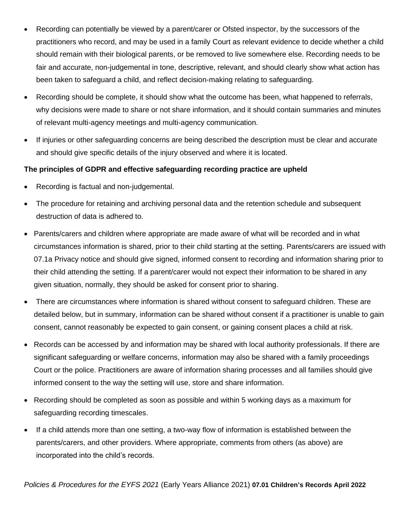- Recording can potentially be viewed by a parent/carer or Ofsted inspector, by the successors of the practitioners who record, and may be used in a family Court as relevant evidence to decide whether a child should remain with their biological parents, or be removed to live somewhere else. Recording needs to be fair and accurate, non-judgemental in tone, descriptive, relevant, and should clearly show what action has been taken to safeguard a child, and reflect decision-making relating to safeguarding.
- Recording should be complete, it should show what the outcome has been, what happened to referrals, why decisions were made to share or not share information, and it should contain summaries and minutes of relevant multi-agency meetings and multi-agency communication.
- If injuries or other safeguarding concerns are being described the description must be clear and accurate and should give specific details of the injury observed and where it is located.

#### **The principles of GDPR and effective safeguarding recording practice are upheld**

- Recording is factual and non-judgemental.
- The procedure for retaining and archiving personal data and the retention schedule and subsequent destruction of data is adhered to.
- Parents/carers and children where appropriate are made aware of what will be recorded and in what circumstances information is shared, prior to their child starting at the setting. Parents/carers are issued with 07.1a Privacy notice and should give signed, informed consent to recording and information sharing prior to their child attending the setting. If a parent/carer would not expect their information to be shared in any given situation, normally, they should be asked for consent prior to sharing.
- There are circumstances where information is shared without consent to safeguard children. These are detailed below, but in summary, information can be shared without consent if a practitioner is unable to gain consent, cannot reasonably be expected to gain consent, or gaining consent places a child at risk.
- Records can be accessed by and information may be shared with local authority professionals. If there are significant safeguarding or welfare concerns, information may also be shared with a family proceedings Court or the police. Practitioners are aware of information sharing processes and all families should give informed consent to the way the setting will use, store and share information.
- Recording should be completed as soon as possible and within 5 working days as a maximum for safeguarding recording timescales.
- If a child attends more than one setting, a two-way flow of information is established between the parents/carers, and other providers. Where appropriate, comments from others (as above) are incorporated into the child's records.

*Policies & Procedures for the EYFS 2021* (Early Years Alliance 2021) **07.01 Children's Records April 2022**